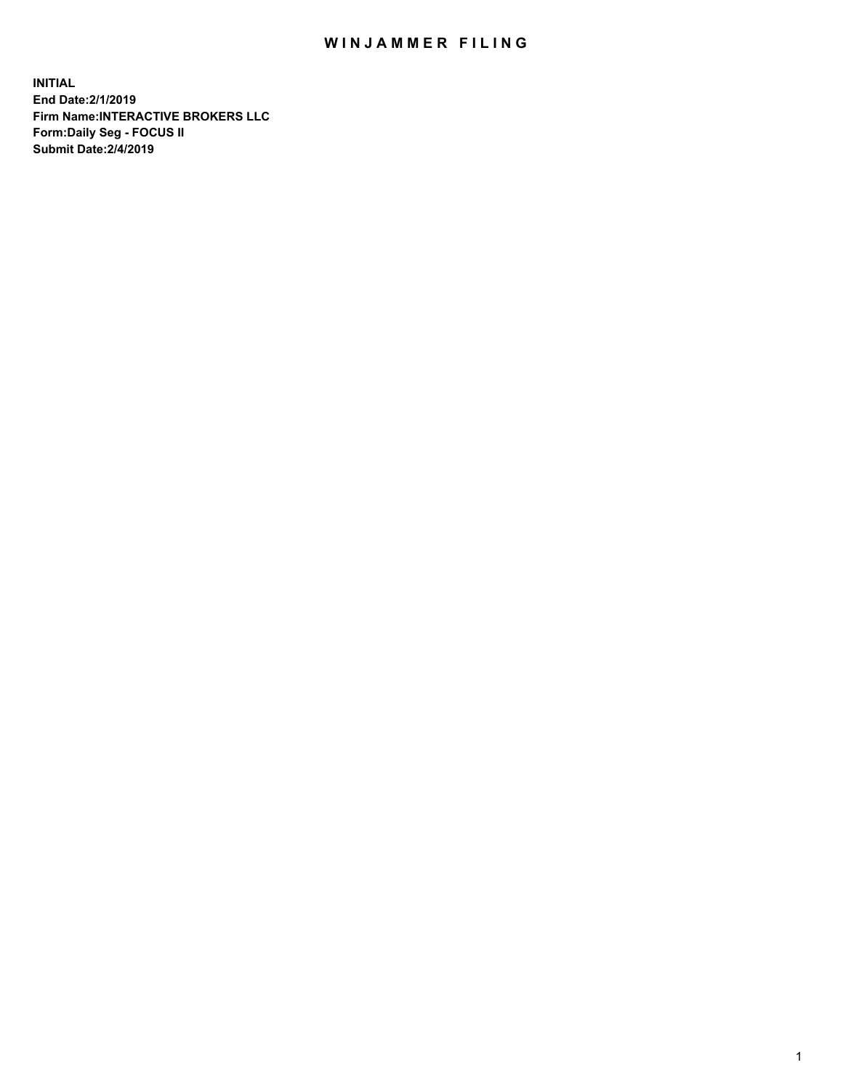## WIN JAMMER FILING

**INITIAL End Date:2/1/2019 Firm Name:INTERACTIVE BROKERS LLC Form:Daily Seg - FOCUS II Submit Date:2/4/2019**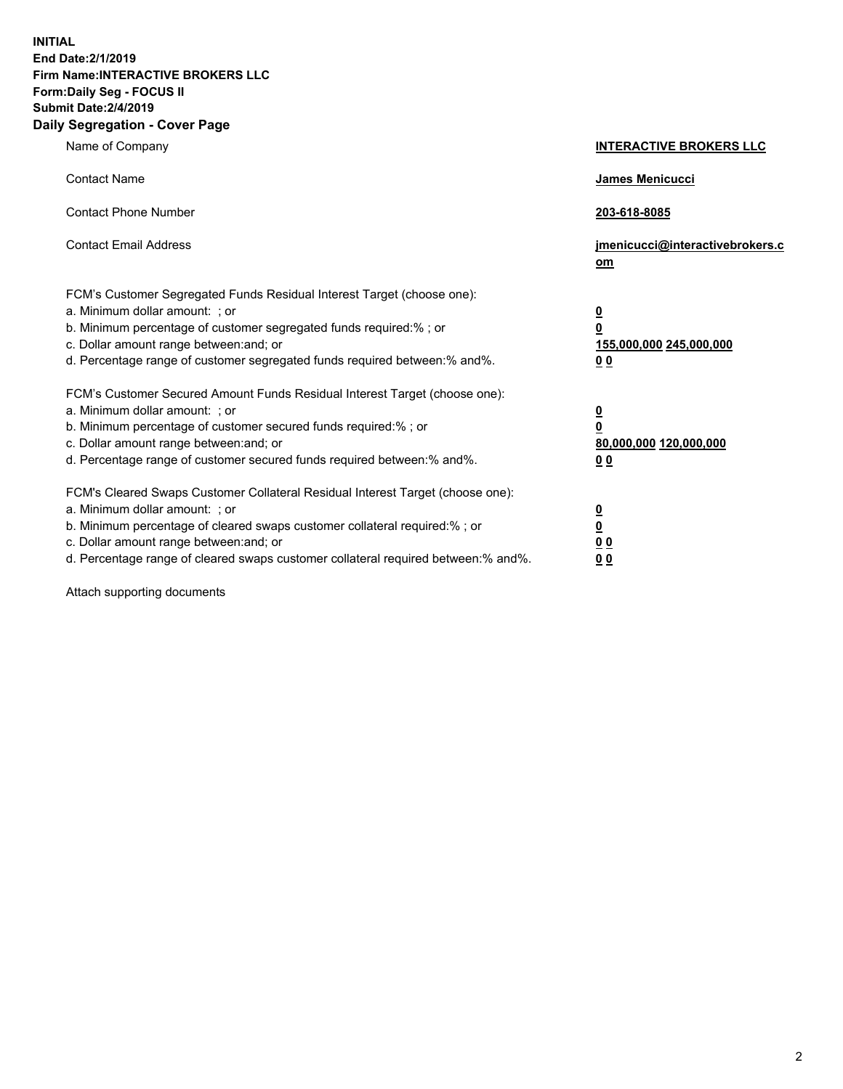**INITIAL End Date:2/1/2019 Firm Name:INTERACTIVE BROKERS LLC Form:Daily Seg - FOCUS II Submit Date:2/4/2019 Daily Segregation - Cover Page**

| Name of Company                                                                                                                                                                                                                                                                                                                | <b>INTERACTIVE BROKERS LLC</b>                                                      |
|--------------------------------------------------------------------------------------------------------------------------------------------------------------------------------------------------------------------------------------------------------------------------------------------------------------------------------|-------------------------------------------------------------------------------------|
| <b>Contact Name</b>                                                                                                                                                                                                                                                                                                            | James Menicucci                                                                     |
| <b>Contact Phone Number</b>                                                                                                                                                                                                                                                                                                    | 203-618-8085                                                                        |
| <b>Contact Email Address</b>                                                                                                                                                                                                                                                                                                   | jmenicucci@interactivebrokers.c<br>om                                               |
| FCM's Customer Segregated Funds Residual Interest Target (choose one):<br>a. Minimum dollar amount: ; or<br>b. Minimum percentage of customer segregated funds required:% ; or<br>c. Dollar amount range between: and; or<br>d. Percentage range of customer segregated funds required between:% and%.                         | $\overline{\mathbf{0}}$<br>$\overline{\mathbf{0}}$<br>155,000,000 245,000,000<br>00 |
| FCM's Customer Secured Amount Funds Residual Interest Target (choose one):<br>a. Minimum dollar amount: ; or<br>b. Minimum percentage of customer secured funds required:% ; or<br>c. Dollar amount range between: and; or<br>d. Percentage range of customer secured funds required between:% and%.                           | $\overline{\mathbf{0}}$<br>$\pmb{0}$<br>80,000,000 120,000,000<br>00                |
| FCM's Cleared Swaps Customer Collateral Residual Interest Target (choose one):<br>a. Minimum dollar amount: ; or<br>b. Minimum percentage of cleared swaps customer collateral required:% ; or<br>c. Dollar amount range between: and; or<br>d. Percentage range of cleared swaps customer collateral required between:% and%. | $\overline{\mathbf{0}}$<br>$\underline{\mathbf{0}}$<br>0 <sub>0</sub><br>00         |

Attach supporting documents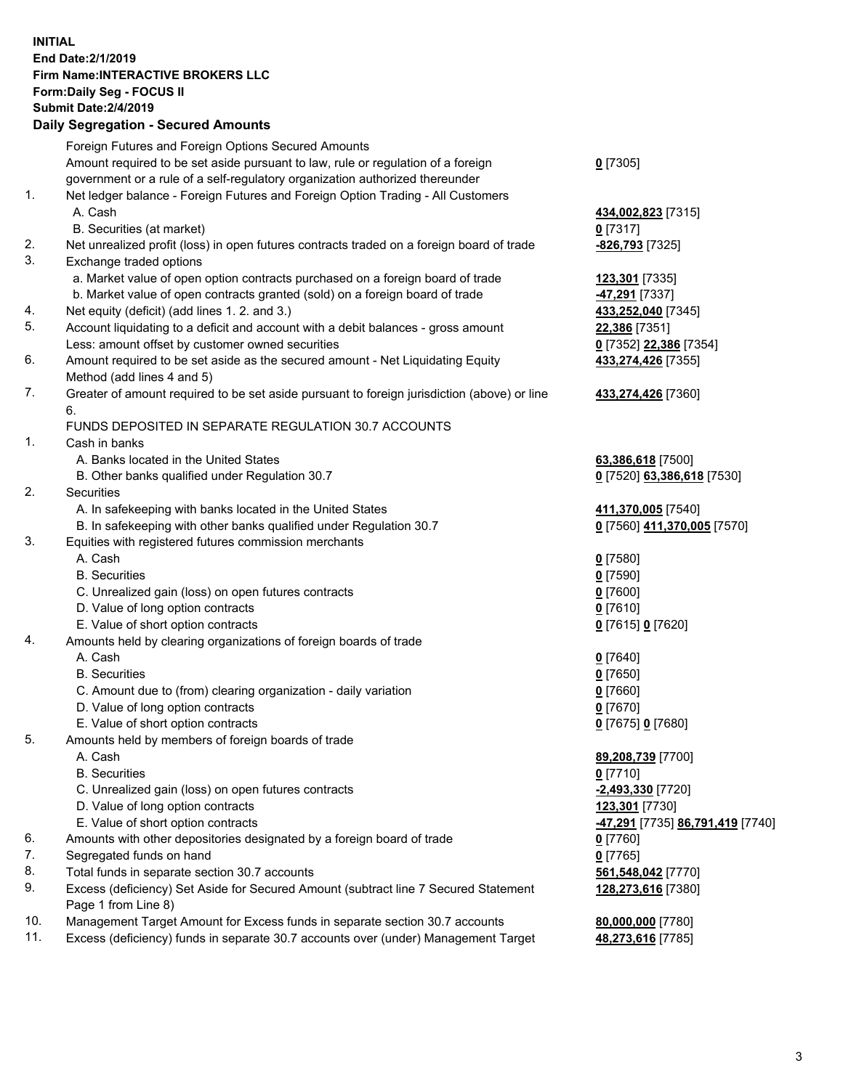## **INITIAL End Date:2/1/2019 Firm Name:INTERACTIVE BROKERS LLC Form:Daily Seg - FOCUS II Submit Date:2/4/2019 Daily Segregation - Secured Amounts**

|                | Dany Ocgregation - Occarea Anioants                                                         |                                               |
|----------------|---------------------------------------------------------------------------------------------|-----------------------------------------------|
|                | Foreign Futures and Foreign Options Secured Amounts                                         |                                               |
|                | Amount required to be set aside pursuant to law, rule or regulation of a foreign            | $0$ [7305]                                    |
|                | government or a rule of a self-regulatory organization authorized thereunder                |                                               |
| 1.             | Net ledger balance - Foreign Futures and Foreign Option Trading - All Customers             |                                               |
|                | A. Cash                                                                                     | 434,002,823 [7315]                            |
|                | B. Securities (at market)                                                                   | $0$ [7317]                                    |
| 2.             | Net unrealized profit (loss) in open futures contracts traded on a foreign board of trade   | -826,793 [7325]                               |
| 3.             | Exchange traded options                                                                     |                                               |
|                | a. Market value of open option contracts purchased on a foreign board of trade              | 123,301 [7335]                                |
|                | b. Market value of open contracts granted (sold) on a foreign board of trade                | 47,291 [7337]                                 |
| 4.             | Net equity (deficit) (add lines 1. 2. and 3.)                                               | 433,252,040 [7345]                            |
| 5.             | Account liquidating to a deficit and account with a debit balances - gross amount           | 22,386 [7351]                                 |
|                | Less: amount offset by customer owned securities                                            | 0 [7352] 22,386 [7354]                        |
| 6.             | Amount required to be set aside as the secured amount - Net Liquidating Equity              | 433,274,426 [7355]                            |
|                | Method (add lines 4 and 5)                                                                  |                                               |
| 7.             | Greater of amount required to be set aside pursuant to foreign jurisdiction (above) or line | 433,274,426 [7360]                            |
|                | 6.                                                                                          |                                               |
|                | FUNDS DEPOSITED IN SEPARATE REGULATION 30.7 ACCOUNTS                                        |                                               |
| $\mathbf{1}$ . | Cash in banks                                                                               |                                               |
|                | A. Banks located in the United States                                                       | 63,386,618 [7500]                             |
|                | B. Other banks qualified under Regulation 30.7                                              | 0 [7520] 63,386,618 [7530]                    |
| 2.             | Securities                                                                                  |                                               |
|                | A. In safekeeping with banks located in the United States                                   | 411,370,005 [7540]                            |
|                | B. In safekeeping with other banks qualified under Regulation 30.7                          | 0 [7560] 411,370,005 [7570]                   |
| 3.             | Equities with registered futures commission merchants                                       |                                               |
|                | A. Cash                                                                                     | $0$ [7580]                                    |
|                | <b>B.</b> Securities                                                                        | $0$ [7590]                                    |
|                | C. Unrealized gain (loss) on open futures contracts                                         | $0$ [7600]                                    |
|                | D. Value of long option contracts                                                           | $0$ [7610]                                    |
|                | E. Value of short option contracts                                                          | 0 [7615] 0 [7620]                             |
| 4.             | Amounts held by clearing organizations of foreign boards of trade                           |                                               |
|                | A. Cash                                                                                     | $0$ [7640]                                    |
|                | <b>B.</b> Securities                                                                        | $0$ [7650]                                    |
|                | C. Amount due to (from) clearing organization - daily variation                             | $0$ [7660]                                    |
|                | D. Value of long option contracts                                                           | $0$ [7670]                                    |
|                | E. Value of short option contracts                                                          | 0 [7675] 0 [7680]                             |
| 5.             | Amounts held by members of foreign boards of trade                                          |                                               |
|                | A. Cash                                                                                     | 89,208,739 [7700]                             |
|                | <b>B.</b> Securities                                                                        | $0$ [7710]                                    |
|                | C. Unrealized gain (loss) on open futures contracts                                         | -2,493,330 [7720]                             |
|                | D. Value of long option contracts                                                           | 123,301 [7730]                                |
|                | E. Value of short option contracts                                                          | <mark>-47,291</mark> [7735] 86,791,419 [7740] |
| 6.             | Amounts with other depositories designated by a foreign board of trade                      | 0 [7760]                                      |
| 7.             | Segregated funds on hand                                                                    | $0$ [7765]                                    |
| 8.             | Total funds in separate section 30.7 accounts                                               | 561,548,042 [7770]                            |
| 9.             | Excess (deficiency) Set Aside for Secured Amount (subtract line 7 Secured Statement         | 128,273,616 [7380]                            |
|                | Page 1 from Line 8)                                                                         |                                               |
| 10.            | Management Target Amount for Excess funds in separate section 30.7 accounts                 | 80,000,000 [7780]                             |
| 11.            | Excess (deficiency) funds in separate 30.7 accounts over (under) Management Target          | 48,273,616 [7785]                             |
|                |                                                                                             |                                               |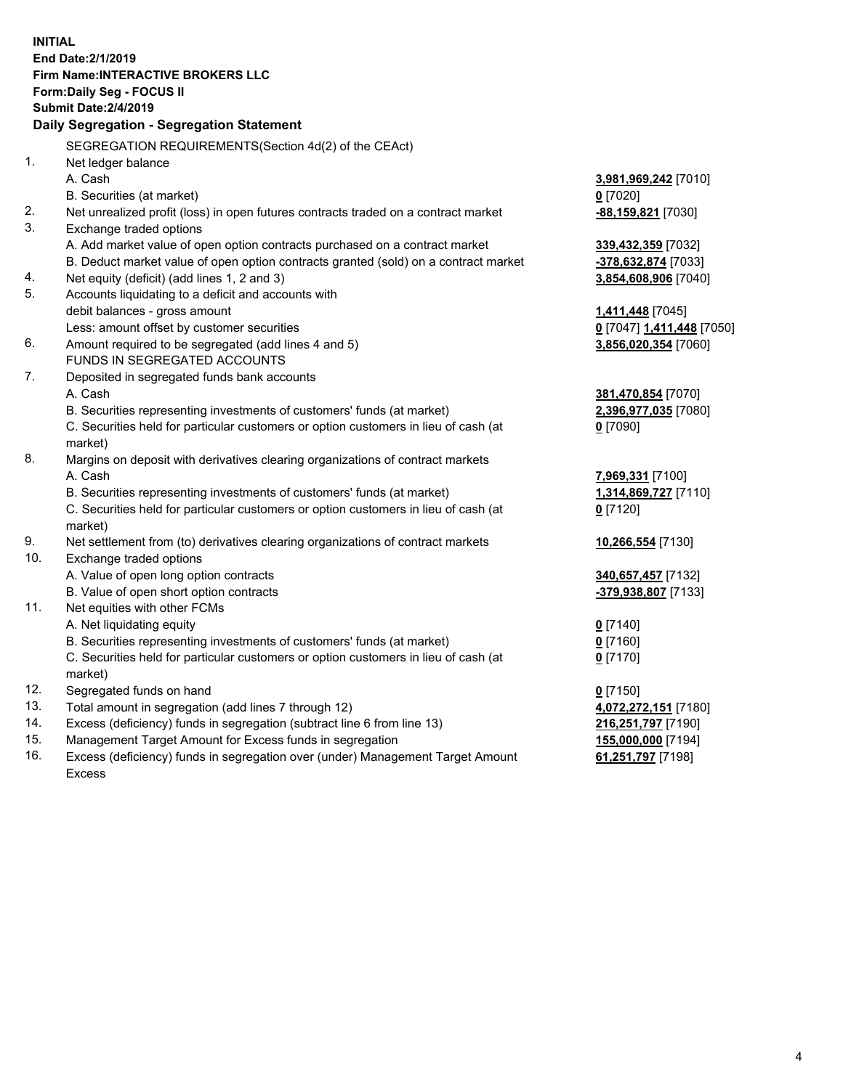**INITIAL End Date:2/1/2019 Firm Name:INTERACTIVE BROKERS LLC Form:Daily Seg - FOCUS II Submit Date:2/4/2019 Daily Segregation - Segregation Statement** SEGREGATION REQUIREMENTS(Section 4d(2) of the CEAct) 1. Net ledger balance A. Cash **3,981,969,242** [7010] B. Securities (at market) **0** [7020] 2. Net unrealized profit (loss) in open futures contracts traded on a contract market **-88,159,821** [7030] 3. Exchange traded options A. Add market value of open option contracts purchased on a contract market **339,432,359** [7032] B. Deduct market value of open option contracts granted (sold) on a contract market **-378,632,874** [7033] 4. Net equity (deficit) (add lines 1, 2 and 3) **3,854,608,906** [7040] 5. Accounts liquidating to a deficit and accounts with debit balances - gross amount **1,411,448** [7045] Less: amount offset by customer securities **0** [7047] **1,411,448** [7050] 6. Amount required to be segregated (add lines 4 and 5) **3,856,020,354** [7060] FUNDS IN SEGREGATED ACCOUNTS 7. Deposited in segregated funds bank accounts A. Cash **381,470,854** [7070] B. Securities representing investments of customers' funds (at market) **2,396,977,035** [7080] C. Securities held for particular customers or option customers in lieu of cash (at market) **0** [7090] 8. Margins on deposit with derivatives clearing organizations of contract markets A. Cash **7,969,331** [7100] B. Securities representing investments of customers' funds (at market) **1,314,869,727** [7110] C. Securities held for particular customers or option customers in lieu of cash (at market) **0** [7120] 9. Net settlement from (to) derivatives clearing organizations of contract markets **10,266,554** [7130] 10. Exchange traded options A. Value of open long option contracts **340,657,457** [7132] B. Value of open short option contracts **-379,938,807** [7133] 11. Net equities with other FCMs A. Net liquidating equity **0** [7140] B. Securities representing investments of customers' funds (at market) **0** [7160] C. Securities held for particular customers or option customers in lieu of cash (at market) **0** [7170] 12. Segregated funds on hand **0** [7150] 13. Total amount in segregation (add lines 7 through 12) **4,072,272,151** [7180] 14. Excess (deficiency) funds in segregation (subtract line 6 from line 13) **216,251,797** [7190] 15. Management Target Amount for Excess funds in segregation **155,000,000** [7194] 16. Excess (deficiency) funds in segregation over (under) Management Target Amount **61,251,797** [7198]

Excess